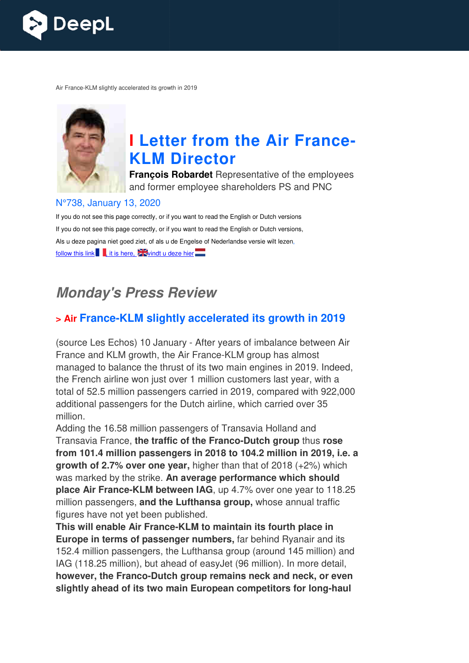

Air France-KLM slightly accelerated its growth in 2019



# **I** Letter from the Air France-**KLM Director**

**François Robardet** Representative of the employees and former employee shareholders PS and PNC

#### N°738, January 13, 2020

If you do not see this page correctly, or if you want to read the English or Dutch versions If you do not see this page correctly, or if you want to read the English or Dutch versions, Als u deze pagina niet goed ziet, of als u de Engelse of Nederlandse versie wilt lezen, follow this link  $\blacksquare$ , it is here,  $\blacktriangleright$  windt u deze hier

# **Monday's Press Review**

#### **x** Air France-KLM slightly accelerated its growth in 2019

(source Les Echos) 10 January - After years of imbalance between Air France and KLM growth, the Air France France-KLM group has almost managed to balance the thrust of its two main engines in 2019. Indeed, the French airline won just over 1 million customers last year, with a total of 52.5 million passengers carried in 2019, compared with 922,000 additional passengers for the Dutch airline, which carried over 35 million.

Adding the 16.58 million passengers of Transavia Holland and Transavia France, the traffic of the Franco-Dutch group thus rose **from 101.4 million passengers in 2018 to 104.2 million in 2019, i.e. a growth of 2.7% over one year,** higher than that of 2018 (+2%) which was marked by the strike. **An average performance which should place Air France-KLM between IAG**, up 4.7% over one year to 118.25 million passengers, **and the Lufthansa group,** whose annual traffic figures have not yet been published.

**This will enable Air France France-KLM to maintain its fourth place in Europe in terms of passenger numbers,** far behind Ryanair and its 152.4 million passengers, the Lufthansa group (around 145 million) and IAG (118.25 million), but ahead of easyJet (96 million). In more detail, **however, the Franco-Dutch group remains neck and neck, or even**  however, the Franco-Dutch group remains neck and neck, or even<br>slightly ahead of its two main European competitors for long-haul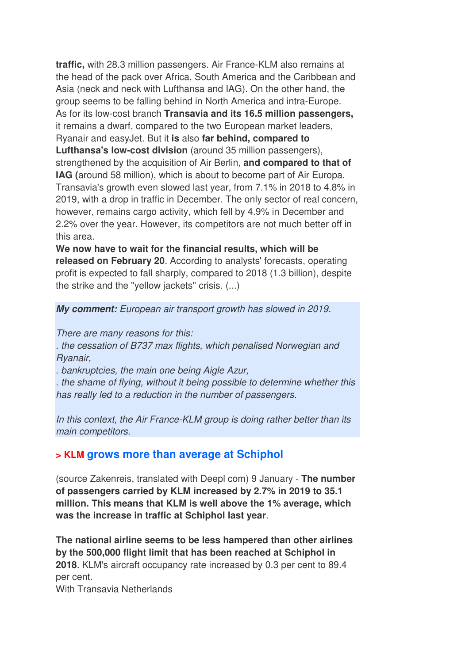**traffic,** with 28.3 million passengers. Air France-KLM also remains at the head of the pack over Africa, South America and the Caribbean and Asia (neck and neck with Lufthansa and IAG). On the other hand, the group seems to be falling behind in North America and intra-Europe. As for its low-cost branch **Transavia and its 16.5 million passengers,** it remains a dwarf, compared to the two European market leaders, Ryanair and easyJet. But it **is** also **far behind, compared to Lufthansa's low-cost division** (around 35 million passengers), strengthened by the acquisition of Air Berlin, **and compared to that of IAG (**around 58 million), which is about to become part of Air Europa. Transavia's growth even slowed last year, from 7.1% in 2018 to 4.8% in 2019, with a drop in traffic in December. The only sector of real concern, however, remains cargo activity, which fell by 4.9% in December and 2.2% over the year. However, its competitors are not much better off in this area.

**We now have to wait for the financial results, which will be released on February 20**. According to analysts' forecasts, operating profit is expected to fall sharply, compared to 2018 (1.3 billion), despite the strike and the "yellow jackets" crisis. (...)

#### **My comment:** European air transport growth has slowed in 2019.

There are many reasons for this:

. the cessation of B737 max flights, which penalised Norwegian and Ryanair,

. bankruptcies, the main one being Aigle Azur,

. the shame of flying, without it being possible to determine whether this has really led to a reduction in the number of passengers.

In this context, the Air France-KLM group is doing rather better than its main competitors.

#### **> KLM grows more than average at Schiphol**

(source Zakenreis, translated with Deepl com) 9 January - **The number of passengers carried by KLM increased by 2.7% in 2019 to 35.1 million. This means that KLM is well above the 1% average, which was the increase in traffic at Schiphol last year**.

**The national airline seems to be less hampered than other airlines by the 500,000 flight limit that has been reached at Schiphol in 2018**. KLM's aircraft occupancy rate increased by 0.3 per cent to 89.4 per cent.

With Transavia Netherlands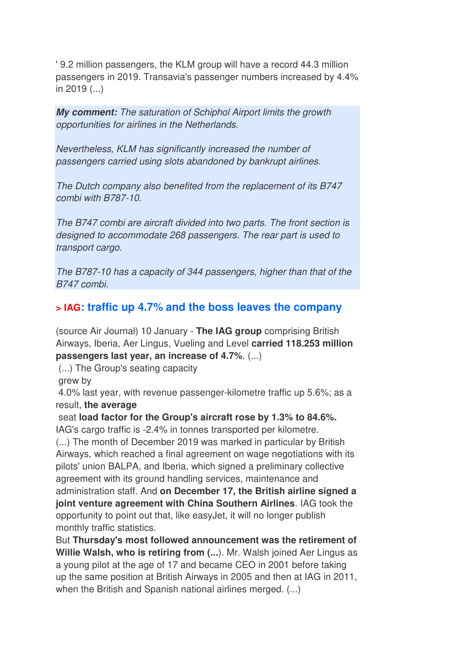' 9.2 million passengers, the KLM group will have a record 44.3 million passengers in 2019. Transavia's passenger numbers increased by 4.4% in 2019 (...)

**My comment:** The saturation of Schiphol Airport limits the growth opportunities for airlines in the Netherlands.

Nevertheless, KLM has significantly increased the number of passengers carried using slots abandoned by bankrupt airlines.

The Dutch company also benefited from the replacement of its B747 combi with B787-10.

The B747 combi are aircraft divided into two parts. The front section is designed to accommodate 268 passengers. The rear part is used to transport cargo.

The B787-10 has a capacity of 344 passengers, higher than that of the B747 combi.

# **> IAG: traffic up 4.7% and the boss leaves the company**

(source Air Journal) 10 January - **The IAG group** comprising British Airways, Iberia, Aer Lingus, Vueling and Level **carried 118.253 million passengers last year, an increase of 4.7%**. (...)

(...) The Group's seating capacity

grew by

 4.0% last year, with revenue passenger-kilometre traffic up 5.6%; as a result, **the average**

 seat **load factor for the Group's aircraft rose by 1.3% to 84.6%.**  IAG's cargo traffic is -2.4% in tonnes transported per kilometre. (...) The month of December 2019 was marked in particular by British Airways, which reached a final agreement on wage negotiations with its pilots' union BALPA, and Iberia, which signed a preliminary collective agreement with its ground handling services, maintenance and administration staff. And **on December 17, the British airline signed a joint venture agreement with China Southern Airlines**. IAG took the opportunity to point out that, like easyJet, it will no longer publish monthly traffic statistics.

But **Thursday's most followed announcement was the retirement of Willie Walsh, who is retiring from (...**). Mr. Walsh joined Aer Lingus as a young pilot at the age of 17 and became CEO in 2001 before taking up the same position at British Airways in 2005 and then at IAG in 2011, when the British and Spanish national airlines merged. (...)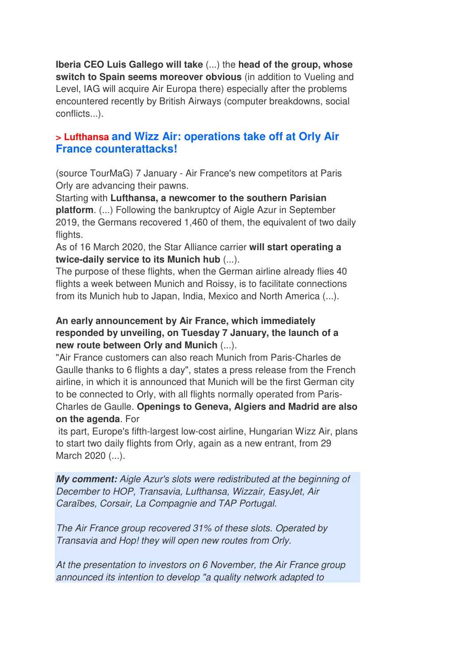**Iberia CEO Luis Gallego will take** (...) the **head of the group, whose switch to Spain seems moreover obvious** (in addition to Vueling and Level, IAG will acquire Air Europa there) especially after the problems encountered recently by British Airways (computer breakdowns, social conflicts...).

#### **> Lufthansa and Wizz Air: operations take off at Orly Air France counterattacks!**

(source TourMaG) 7 January - Air France's new competitors at Paris Orly are advancing their pawns.

Starting with **Lufthansa, a newcomer to the southern Parisian platform**. (...) Following the bankruptcy of Aigle Azur in September 2019, the Germans recovered 1,460 of them, the equivalent of two daily flights.

As of 16 March 2020, the Star Alliance carrier **will start operating a twice-daily service to its Munich hub** (...).

The purpose of these flights, when the German airline already flies 40 flights a week between Munich and Roissy, is to facilitate connections from its Munich hub to Japan, India, Mexico and North America (...).

#### **An early announcement by Air France, which immediately responded by unveiling, on Tuesday 7 January, the launch of a new route between Orly and Munich** (...).

"Air France customers can also reach Munich from Paris-Charles de Gaulle thanks to 6 flights a day", states a press release from the French airline, in which it is announced that Munich will be the first German city to be connected to Orly, with all flights normally operated from Paris-Charles de Gaulle. **Openings to Geneva, Algiers and Madrid are also on the agenda**. For

 its part, Europe's fifth-largest low-cost airline, Hungarian Wizz Air, plans to start two daily flights from Orly, again as a new entrant, from 29 March 2020 (...).

**My comment:** Aigle Azur's slots were redistributed at the beginning of December to HOP, Transavia, Lufthansa, Wizzair, EasyJet, Air Caraïbes, Corsair, La Compagnie and TAP Portugal.

The Air France group recovered 31% of these slots. Operated by Transavia and Hop! they will open new routes from Orly.

At the presentation to investors on 6 November, the Air France group announced its intention to develop "a quality network adapted to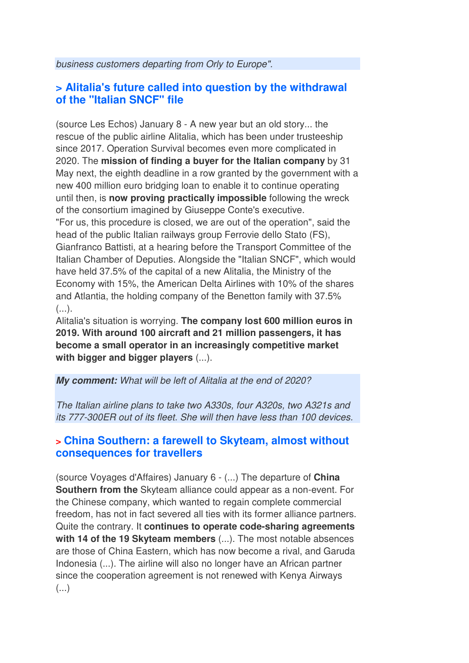business customers departing from Orly to Europe".

## **> Alitalia's future called into question by the withdrawal of the "Italian SNCF" file**

(source Les Echos) January 8 - A new year but an old story... the rescue of the public airline Alitalia, which has been under trusteeship since 2017. Operation Survival becomes even more complicated in 2020. The **mission of finding a buyer for the Italian company** by 31 May next, the eighth deadline in a row granted by the government with a new 400 million euro bridging loan to enable it to continue operating until then, is **now proving practically impossible** following the wreck of the consortium imagined by Giuseppe Conte's executive. "For us, this procedure is closed, we are out of the operation", said the head of the public Italian railways group Ferrovie dello Stato (FS), Gianfranco Battisti, at a hearing before the Transport Committee of the Italian Chamber of Deputies. Alongside the "Italian SNCF", which would have held 37.5% of the capital of a new Alitalia, the Ministry of the Economy with 15%, the American Delta Airlines with 10% of the shares and Atlantia, the holding company of the Benetton family with 37.5% (...).

Alitalia's situation is worrying. **The company lost 600 million euros in 2019. With around 100 aircraft and 21 million passengers, it has become a small operator in an increasingly competitive market with bigger and bigger players** (...).

**My comment:** What will be left of Alitalia at the end of 2020?

The Italian airline plans to take two A330s, four A320s, two A321s and its 777-300ER out of its fleet. She will then have less than 100 devices.

#### **> China Southern: a farewell to Skyteam, almost without consequences for travellers**

(source Voyages d'Affaires) January 6 - (...) The departure of **China Southern from the** Skyteam alliance could appear as a non-event. For the Chinese company, which wanted to regain complete commercial freedom, has not in fact severed all ties with its former alliance partners. Quite the contrary. It **continues to operate code-sharing agreements with 14 of the 19 Skyteam members** (...). The most notable absences are those of China Eastern, which has now become a rival, and Garuda Indonesia (...). The airline will also no longer have an African partner since the cooperation agreement is not renewed with Kenya Airways  $(\ldots)$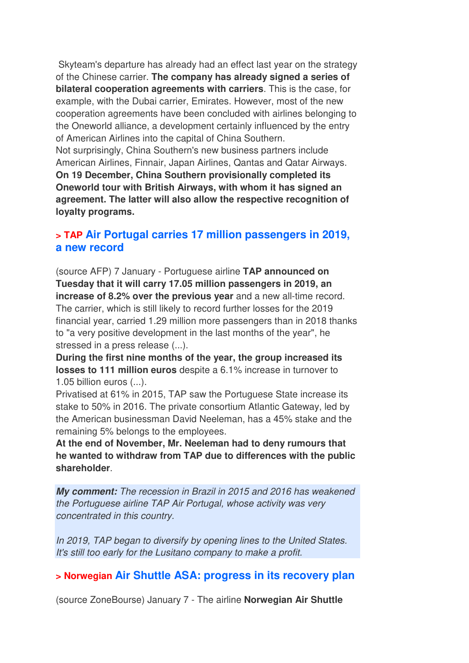Skyteam's departure has already had an effect last year on the strategy of the Chinese carrier. **The company has already signed a series of bilateral cooperation agreements with carriers**. This is the case, for example, with the Dubai carrier, Emirates. However, most of the new cooperation agreements have been concluded with airlines belonging to the Oneworld alliance, a development certainly influenced by the entry of American Airlines into the capital of China Southern. Not surprisingly, China Southern's new business partners include American Airlines, Finnair, Japan Airlines, Qantas and Qatar Airways. **On 19 December, China Southern provisionally completed its Oneworld tour with British Airways, with whom it has signed an agreement. The latter will also allow the respective recognition of loyalty programs.**

#### **> TAP Air Portugal carries 17 million passengers in 2019, a new record**

(source AFP) 7 January - Portuguese airline **TAP announced on Tuesday that it will carry 17.05 million passengers in 2019, an increase of 8.2% over the previous year** and a new all-time record. The carrier, which is still likely to record further losses for the 2019 financial year, carried 1.29 million more passengers than in 2018 thanks to "a very positive development in the last months of the year", he stressed in a press release (...).

**During the first nine months of the year, the group increased its losses to 111 million euros** despite a 6.1% increase in turnover to 1.05 billion euros (...).

Privatised at 61% in 2015, TAP saw the Portuguese State increase its stake to 50% in 2016. The private consortium Atlantic Gateway, led by the American businessman David Neeleman, has a 45% stake and the remaining 5% belongs to the employees.

**At the end of November, Mr. Neeleman had to deny rumours that he wanted to withdraw from TAP due to differences with the public shareholder**.

**My comment:** The recession in Brazil in 2015 and 2016 has weakened the Portuguese airline TAP Air Portugal, whose activity was very concentrated in this country.

In 2019, TAP began to diversify by opening lines to the United States. It's still too early for the Lusitano company to make a profit.

## **> Norwegian Air Shuttle ASA: progress in its recovery plan**

(source ZoneBourse) January 7 - The airline **Norwegian Air Shuttle**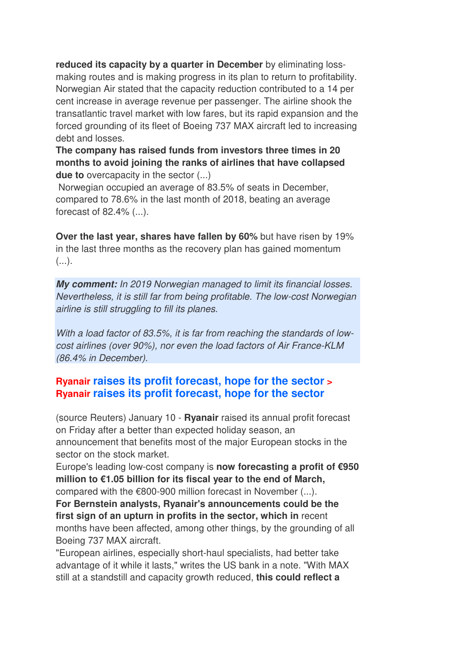**reduced its capacity by a quarter in December** by eliminating lossmaking routes and is making progress in its plan to return to profitability. Norwegian Air stated that the capacity reduction contributed to a 14 per cent increase in average revenue per passenger. The airline shook the transatlantic travel market with low fares, but its rapid expansion and the forced grounding of its fleet of Boeing 737 MAX aircraft led to increasing debt and losses.

**The company has raised funds from investors three times in 20 months to avoid joining the ranks of airlines that have collapsed due to** overcapacity in the sector (...)

 Norwegian occupied an average of 83.5% of seats in December, compared to 78.6% in the last month of 2018, beating an average forecast of 82.4% (...).

**Over the last year, shares have fallen by 60%** but have risen by 19% in the last three months as the recovery plan has gained momentum  $($ ...).

**My comment:** In 2019 Norwegian managed to limit its financial losses. Nevertheless, it is still far from being profitable. The low-cost Norwegian airline is still struggling to fill its planes.

With a load factor of 83.5%, it is far from reaching the standards of lowcost airlines (over 90%), nor even the load factors of Air France-KLM (86.4% in December).

## **Ryanair raises its profit forecast, hope for the sector > Ryanair raises its profit forecast, hope for the sector**

(source Reuters) January 10 - **Ryanair** raised its annual profit forecast on Friday after a better than expected holiday season, an announcement that benefits most of the major European stocks in the sector on the stock market.

Europe's leading low-cost company is **now forecasting a profit of €950 million to €1.05 billion for its fiscal year to the end of March,** compared with the €800-900 million forecast in November (...).

**For Bernstein analysts, Ryanair's announcements could be the first sign of an upturn in profits in the sector, which in** recent months have been affected, among other things, by the grounding of all Boeing 737 MAX aircraft.

"European airlines, especially short-haul specialists, had better take advantage of it while it lasts," writes the US bank in a note. "With MAX still at a standstill and capacity growth reduced, **this could reflect a**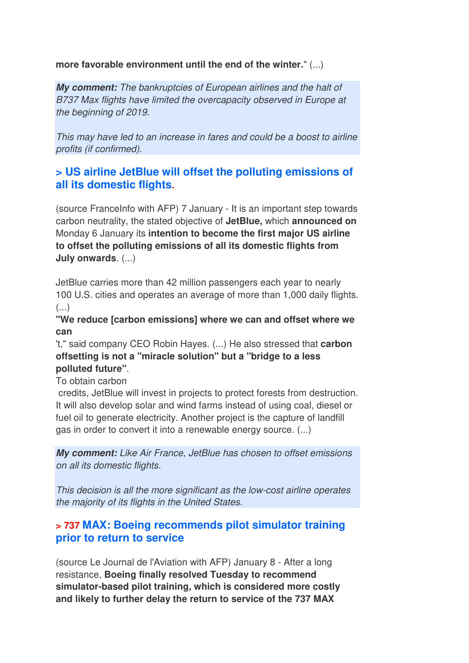**more favorable environment until the end of the winter.**" (...)

**My comment:** The bankruptcies of European airlines and the halt of B737 Max flights have limited the overcapacity observed in Europe at the beginning of 2019.

This may have led to an increase in fares and could be a boost to airline profits (if confirmed).

## **> US airline JetBlue will offset the polluting emissions of all its domestic flights.**

(source FranceInfo with AFP) 7 January - It is an important step towards carbon neutrality, the stated objective of **JetBlue,** which **announced on** Monday 6 January its **intention to become the first major US airline to offset the polluting emissions of all its domestic flights from July onwards**. (...)

JetBlue carries more than 42 million passengers each year to nearly 100 U.S. cities and operates an average of more than 1,000 daily flights.  $\left( \ldots \right)$ 

**"We reduce [carbon emissions] where we can and offset where we can**

't," said company CEO Robin Hayes. (...) He also stressed that **carbon offsetting is not a "miracle solution" but a "bridge to a less polluted future"**.

To obtain carbon

credits, JetBlue will invest in projects to protect forests from destruction. It will also develop solar and wind farms instead of using coal, diesel or fuel oil to generate electricity. Another project is the capture of landfill gas in order to convert it into a renewable energy source. (...)

**My comment:** Like Air France, JetBlue has chosen to offset emissions on all its domestic flights.

This decision is all the more significant as the low-cost airline operates the majority of its flights in the United States.

## **> 737 MAX: Boeing recommends pilot simulator training prior to return to service**

(source Le Journal de l'Aviation with AFP) January 8 - After a long resistance, **Boeing finally resolved Tuesday to recommend simulator-based pilot training, which is considered more costly and likely to further delay the return to service of the 737 MAX**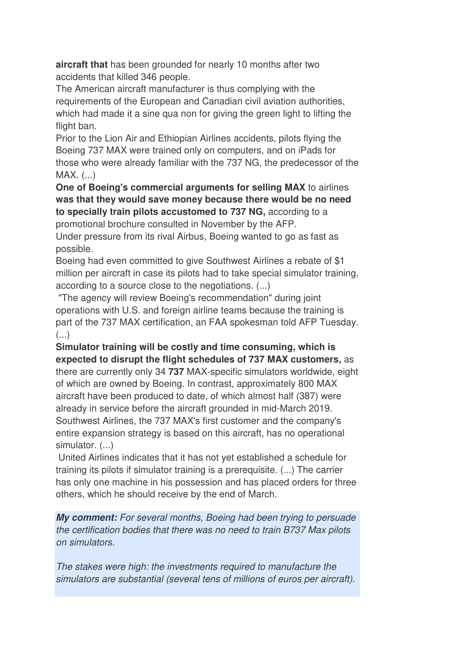**aircraft that** has been grounded for nearly 10 months after two accidents that killed 346 people.

The American aircraft manufacturer is thus complying with the requirements of the European and Canadian civil aviation authorities, which had made it a sine qua non for giving the green light to lifting the flight ban.

Prior to the Lion Air and Ethiopian Airlines accidents, pilots flying the Boeing 737 MAX were trained only on computers, and on iPads for those who were already familiar with the 737 NG, the predecessor of the MAX. (...)

**One of Boeing's commercial arguments for selling MAX** to airlines **was that they would save money because there would be no need to specially train pilots accustomed to 737 NG,** according to a

promotional brochure consulted in November by the AFP.

Under pressure from its rival Airbus, Boeing wanted to go as fast as possible.

Boeing had even committed to give Southwest Airlines a rebate of \$1 million per aircraft in case its pilots had to take special simulator training, according to a source close to the negotiations. (...)

 "The agency will review Boeing's recommendation" during joint operations with U.S. and foreign airline teams because the training is part of the 737 MAX certification, an FAA spokesman told AFP Tuesday.  $\left( \ldots \right)$ 

**Simulator training will be costly and time consuming, which is expected to disrupt the flight schedules of 737 MAX customers,** as there are currently only 34 **737** MAX-specific simulators worldwide, eight of which are owned by Boeing. In contrast, approximately 800 MAX aircraft have been produced to date, of which almost half (387) were already in service before the aircraft grounded in mid-March 2019. Southwest Airlines, the 737 MAX's first customer and the company's entire expansion strategy is based on this aircraft, has no operational simulator. (...)

 United Airlines indicates that it has not yet established a schedule for training its pilots if simulator training is a prerequisite. (...) The carrier has only one machine in his possession and has placed orders for three others, which he should receive by the end of March.

**My comment:** For several months, Boeing had been trying to persuade the certification bodies that there was no need to train B737 Max pilots on simulators.

The stakes were high: the investments required to manufacture the simulators are substantial (several tens of millions of euros per aircraft).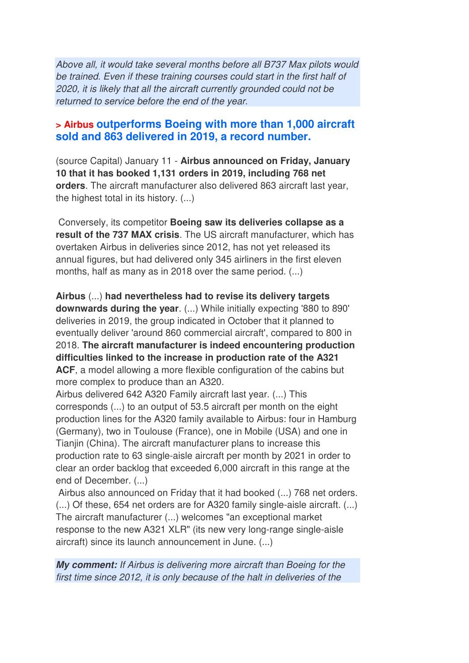Above all, it would take several months before all B737 Max pilots would be trained. Even if these training courses could start in the first half of 2020, it is likely that all the aircraft currently grounded could not be returned to service before the end of the year.

#### **> Airbus outperforms Boeing with more than 1,000 aircraft sold and 863 delivered in 2019, a record number.**

(source Capital) January 11 - **Airbus announced on Friday, January 10 that it has booked 1,131 orders in 2019, including 768 net orders**. The aircraft manufacturer also delivered 863 aircraft last year, the highest total in its history. (...)

 Conversely, its competitor **Boeing saw its deliveries collapse as a result of the 737 MAX crisis**. The US aircraft manufacturer, which has overtaken Airbus in deliveries since 2012, has not yet released its annual figures, but had delivered only 345 airliners in the first eleven months, half as many as in 2018 over the same period. (...)

**Airbus** (...) **had nevertheless had to revise its delivery targets downwards during the year**. (...) While initially expecting '880 to 890' deliveries in 2019, the group indicated in October that it planned to eventually deliver 'around 860 commercial aircraft', compared to 800 in 2018. **The aircraft manufacturer is indeed encountering production difficulties linked to the increase in production rate of the A321 ACF**, a model allowing a more flexible configuration of the cabins but more complex to produce than an A320.

Airbus delivered 642 A320 Family aircraft last year. (...) This corresponds (...) to an output of 53.5 aircraft per month on the eight production lines for the A320 family available to Airbus: four in Hamburg (Germany), two in Toulouse (France), one in Mobile (USA) and one in Tianjin (China). The aircraft manufacturer plans to increase this production rate to 63 single-aisle aircraft per month by 2021 in order to clear an order backlog that exceeded 6,000 aircraft in this range at the end of December. (...)

Airbus also announced on Friday that it had booked (...) 768 net orders. (...) Of these, 654 net orders are for A320 family single-aisle aircraft. (...) The aircraft manufacturer (...) welcomes "an exceptional market response to the new A321 XLR" (its new very long-range single-aisle aircraft) since its launch announcement in June. (...)

**My comment:** If Airbus is delivering more aircraft than Boeing for the first time since 2012, it is only because of the halt in deliveries of the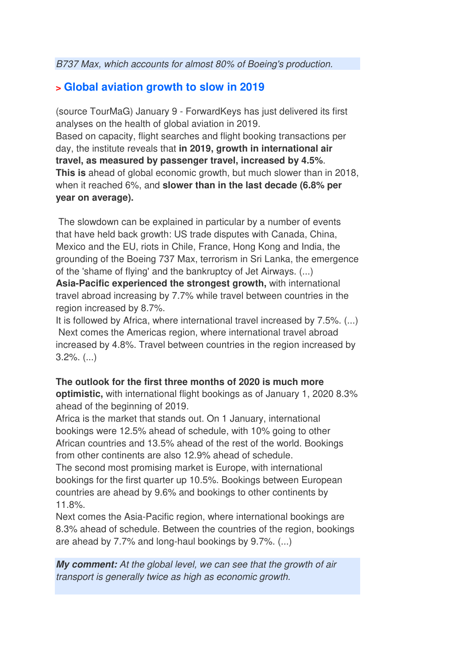## **> Global aviation growth to slow in 2019**

(source TourMaG) January 9 - ForwardKeys has just delivered its first analyses on the health of global aviation in 2019. Based on capacity, flight searches and flight booking transactions per day, the institute reveals that **in 2019, growth in international air travel, as measured by passenger travel, increased by 4.5%**. **This is** ahead of global economic growth, but much slower than in 2018, when it reached 6%, and **slower than in the last decade (6.8% per year on average).** 

 The slowdown can be explained in particular by a number of events that have held back growth: US trade disputes with Canada, China, Mexico and the EU, riots in Chile, France, Hong Kong and India, the grounding of the Boeing 737 Max, terrorism in Sri Lanka, the emergence of the 'shame of flying' and the bankruptcy of Jet Airways. (...)

**Asia-Pacific experienced the strongest growth,** with international travel abroad increasing by 7.7% while travel between countries in the region increased by 8.7%.

It is followed by Africa, where international travel increased by 7.5%. (...) Next comes the Americas region, where international travel abroad increased by 4.8%. Travel between countries in the region increased by 3.2%. (...)

#### **The outlook for the first three months of 2020 is much more**

**optimistic,** with international flight bookings as of January 1, 2020 8.3% ahead of the beginning of 2019.

Africa is the market that stands out. On 1 January, international bookings were 12.5% ahead of schedule, with 10% going to other African countries and 13.5% ahead of the rest of the world. Bookings from other continents are also 12.9% ahead of schedule.

The second most promising market is Europe, with international bookings for the first quarter up 10.5%. Bookings between European countries are ahead by 9.6% and bookings to other continents by 11.8%.

Next comes the Asia-Pacific region, where international bookings are 8.3% ahead of schedule. Between the countries of the region, bookings are ahead by 7.7% and long-haul bookings by 9.7%. (...)

**My comment:** At the global level, we can see that the growth of air transport is generally twice as high as economic growth.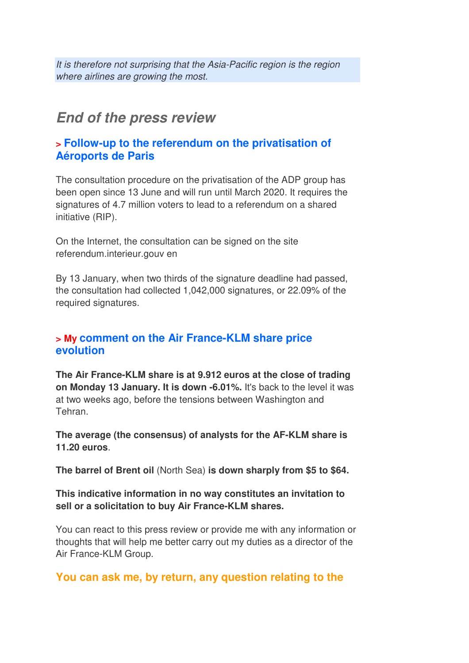It is therefore not surprising that the Asia-Pacific region is the region where airlines are growing the most.

# **End of the press review**

#### **> Follow-up to the referendum on the privatisation of Aéroports de Paris**

The consultation procedure on the privatisation of the ADP group has been open since 13 June and will run until March 2020. It requires the signatures of 4.7 million voters to lead to a referendum on a shared initiative (RIP).

On the Internet, the consultation can be signed on the site referendum.interieur.gouv en

By 13 January, when two thirds of the signature deadline had passed, the consultation had collected 1,042,000 signatures, or 22.09% of the required signatures.

#### **> My comment on the Air France-KLM share price evolution**

**The Air France-KLM share is at 9.912 euros at the close of trading on Monday 13 January. It is down -6.01%.** It's back to the level it was at two weeks ago, before the tensions between Washington and Tehran.

**The average (the consensus) of analysts for the AF-KLM share is 11.20 euros**.

**The barrel of Brent oil** (North Sea) **is down sharply from \$5 to \$64.**

#### **This indicative information in no way constitutes an invitation to sell or a solicitation to buy Air France-KLM shares.**

You can react to this press review or provide me with any information or thoughts that will help me better carry out my duties as a director of the Air France-KLM Group.

## **You can ask me, by return, any question relating to the**